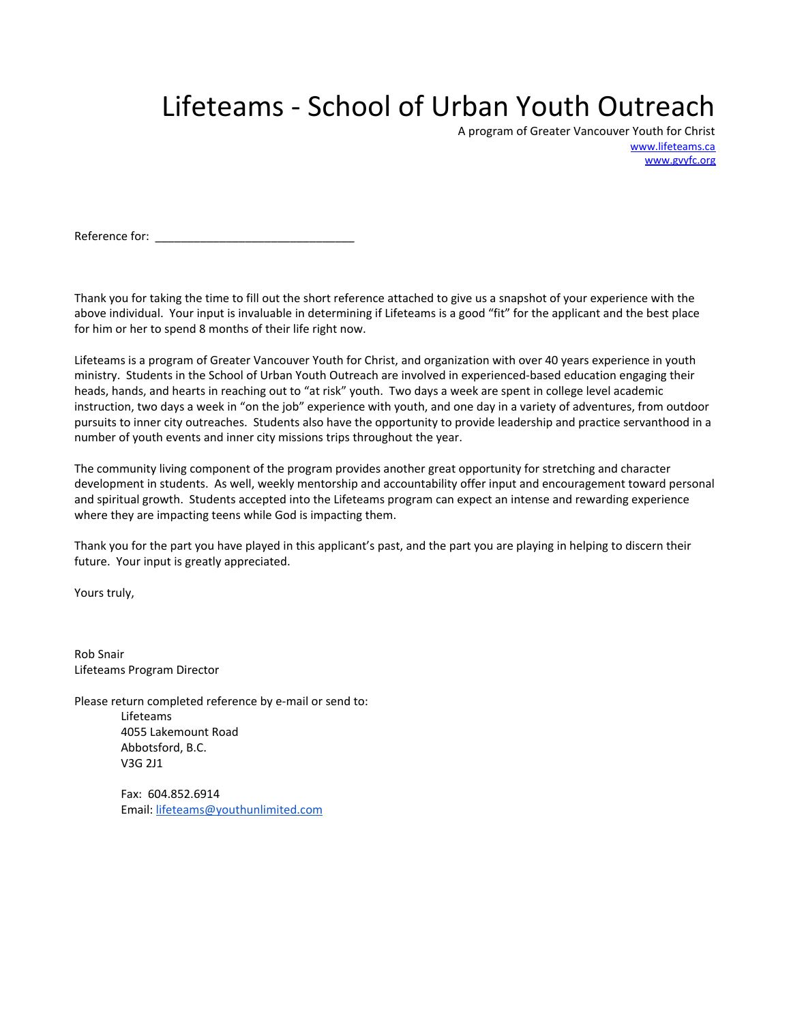## Lifeteams - School of Urban Youth Outreach

A program of Greater Vancouver Youth for Christ [www.lifeteams.ca](http://www.lifeteams.ca/) [www.gvyfc.org](http://www.gvyfc.org/)

Reference for:  $\blacksquare$ 

Thank you for taking the time to fill out the short reference attached to give us a snapshot of your experience with the above individual. Your input is invaluable in determining if Lifeteams is a good "fit" for the applicant and the best place for him or her to spend 8 months of their life right now.

Lifeteams is a program of Greater Vancouver Youth for Christ, and organization with over 40 years experience in youth ministry. Students in the School of Urban Youth Outreach are involved in experienced-based education engaging their heads, hands, and hearts in reaching out to "at risk" youth. Two days a week are spent in college level academic instruction, two days a week in "on the job" experience with youth, and one day in a variety of adventures, from outdoor pursuits to inner city outreaches. Students also have the opportunity to provide leadership and practice servanthood in a number of youth events and inner city missions trips throughout the year.

The community living component of the program provides another great opportunity for stretching and character development in students. As well, weekly mentorship and accountability offer input and encouragement toward personal and spiritual growth. Students accepted into the Lifeteams program can expect an intense and rewarding experience where they are impacting teens while God is impacting them.

Thank you for the part you have played in this applicant's past, and the part you are playing in helping to discern their future. Your input is greatly appreciated.

Yours truly,

Rob Snair Lifeteams Program Director

Please return completed reference by e-mail or send to: Lifeteams 4055 Lakemount Road Abbotsford, B.C. V3G 2J1

> Fax: 604.852.6914 Email: [lifeteams@youthunlimited.com](mailto:lifeteams@youthunlimited.com)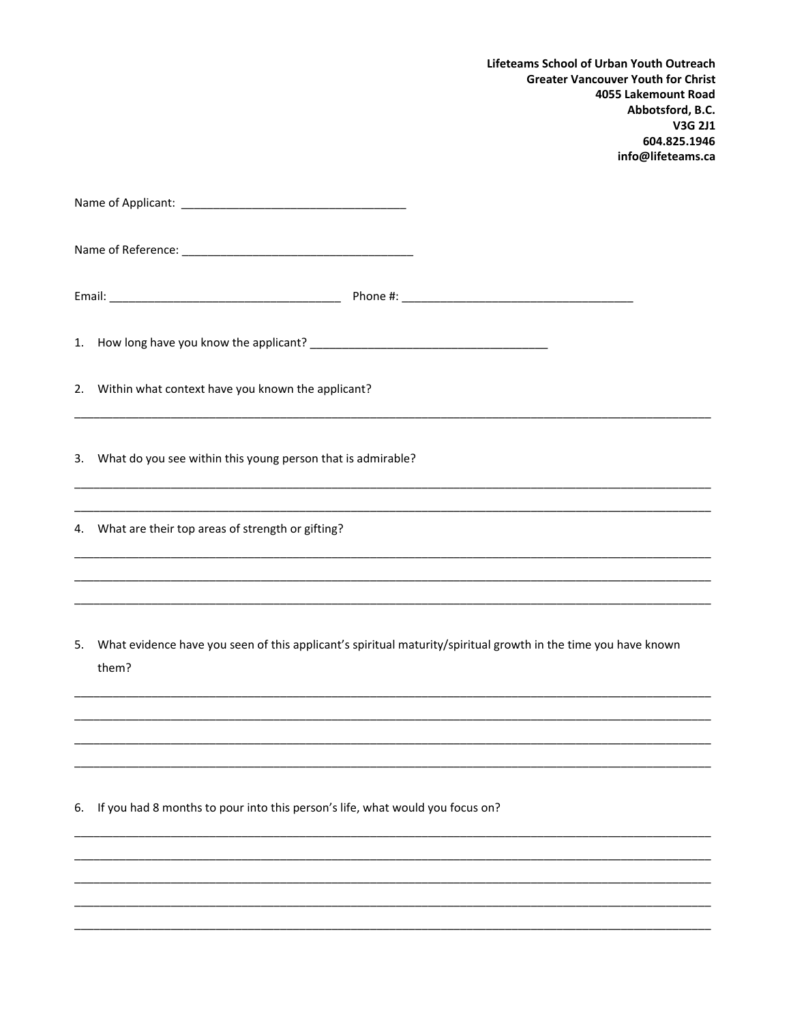Lifeteams School of Urban Youth Outreach **Greater Vancouver Youth for Christ** 4055 Lakemount Road Abbotsford, B.C. V3G 2J1 604.825.1946 info@lifeteams.ca

1. How long have you know the applicant?

2. Within what context have you known the applicant?

3. What do you see within this young person that is admirable?

4. What are their top areas of strength or gifting?

5. What evidence have you seen of this applicant's spiritual maturity/spiritual growth in the time you have known them?

6. If you had 8 months to pour into this person's life, what would you focus on?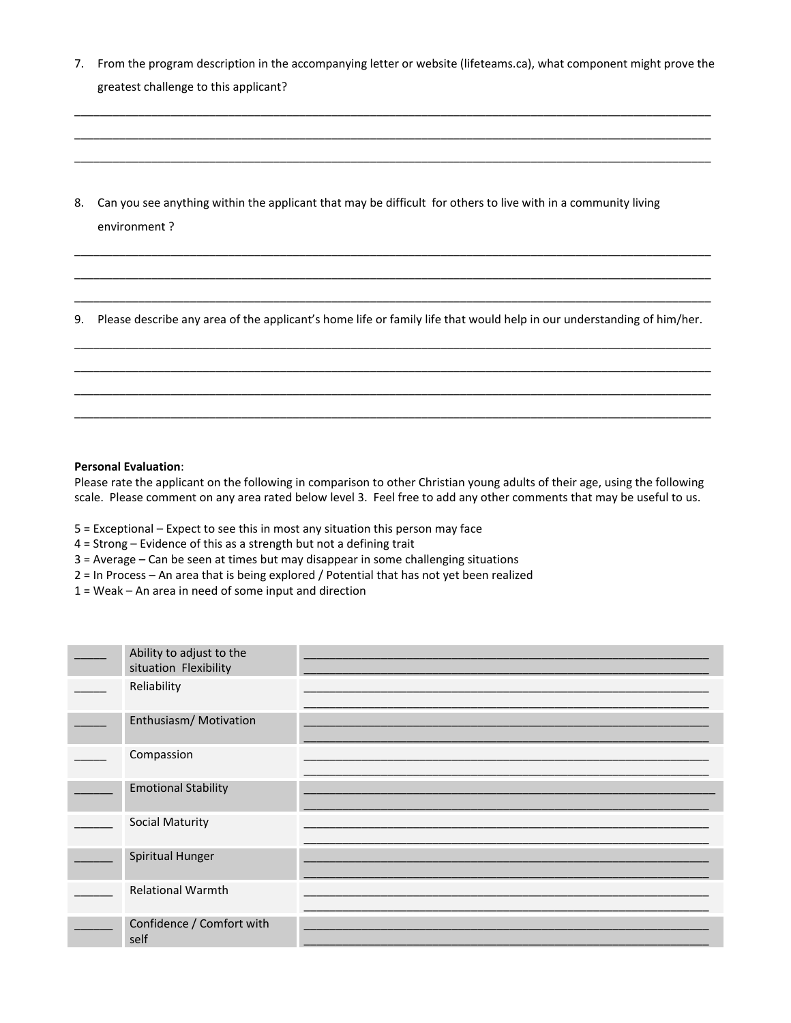7. From the program description in the accompanying letter or website (lifeteams.ca), what component might prove the greatest challenge to this applicant?

\_\_\_\_\_\_\_\_\_\_\_\_\_\_\_\_\_\_\_\_\_\_\_\_\_\_\_\_\_\_\_\_\_\_\_\_\_\_\_\_\_\_\_\_\_\_\_\_\_\_\_\_\_\_\_\_\_\_\_\_\_\_\_\_\_\_\_\_\_\_\_\_\_\_\_\_\_\_\_\_\_\_\_\_\_\_\_\_\_\_\_\_\_\_\_\_\_\_\_ \_\_\_\_\_\_\_\_\_\_\_\_\_\_\_\_\_\_\_\_\_\_\_\_\_\_\_\_\_\_\_\_\_\_\_\_\_\_\_\_\_\_\_\_\_\_\_\_\_\_\_\_\_\_\_\_\_\_\_\_\_\_\_\_\_\_\_\_\_\_\_\_\_\_\_\_\_\_\_\_\_\_\_\_\_\_\_\_\_\_\_\_\_\_\_\_\_\_\_ \_\_\_\_\_\_\_\_\_\_\_\_\_\_\_\_\_\_\_\_\_\_\_\_\_\_\_\_\_\_\_\_\_\_\_\_\_\_\_\_\_\_\_\_\_\_\_\_\_\_\_\_\_\_\_\_\_\_\_\_\_\_\_\_\_\_\_\_\_\_\_\_\_\_\_\_\_\_\_\_\_\_\_\_\_\_\_\_\_\_\_\_\_\_\_\_\_\_\_

8. Can you see anything within the applicant that may be difficult for others to live with in a community living environment ?

9. Please describe any area of the applicant's home life or family life that would help in our understanding of him/her.

\_\_\_\_\_\_\_\_\_\_\_\_\_\_\_\_\_\_\_\_\_\_\_\_\_\_\_\_\_\_\_\_\_\_\_\_\_\_\_\_\_\_\_\_\_\_\_\_\_\_\_\_\_\_\_\_\_\_\_\_\_\_\_\_\_\_\_\_\_\_\_\_\_\_\_\_\_\_\_\_\_\_\_\_\_\_\_\_\_\_\_\_\_\_\_\_\_\_\_ \_\_\_\_\_\_\_\_\_\_\_\_\_\_\_\_\_\_\_\_\_\_\_\_\_\_\_\_\_\_\_\_\_\_\_\_\_\_\_\_\_\_\_\_\_\_\_\_\_\_\_\_\_\_\_\_\_\_\_\_\_\_\_\_\_\_\_\_\_\_\_\_\_\_\_\_\_\_\_\_\_\_\_\_\_\_\_\_\_\_\_\_\_\_\_\_\_\_\_ \_\_\_\_\_\_\_\_\_\_\_\_\_\_\_\_\_\_\_\_\_\_\_\_\_\_\_\_\_\_\_\_\_\_\_\_\_\_\_\_\_\_\_\_\_\_\_\_\_\_\_\_\_\_\_\_\_\_\_\_\_\_\_\_\_\_\_\_\_\_\_\_\_\_\_\_\_\_\_\_\_\_\_\_\_\_\_\_\_\_\_\_\_\_\_\_\_\_\_ \_\_\_\_\_\_\_\_\_\_\_\_\_\_\_\_\_\_\_\_\_\_\_\_\_\_\_\_\_\_\_\_\_\_\_\_\_\_\_\_\_\_\_\_\_\_\_\_\_\_\_\_\_\_\_\_\_\_\_\_\_\_\_\_\_\_\_\_\_\_\_\_\_\_\_\_\_\_\_\_\_\_\_\_\_\_\_\_\_\_\_\_\_\_\_\_\_\_\_

\_\_\_\_\_\_\_\_\_\_\_\_\_\_\_\_\_\_\_\_\_\_\_\_\_\_\_\_\_\_\_\_\_\_\_\_\_\_\_\_\_\_\_\_\_\_\_\_\_\_\_\_\_\_\_\_\_\_\_\_\_\_\_\_\_\_\_\_\_\_\_\_\_\_\_\_\_\_\_\_\_\_\_\_\_\_\_\_\_\_\_\_\_\_\_\_\_\_\_ \_\_\_\_\_\_\_\_\_\_\_\_\_\_\_\_\_\_\_\_\_\_\_\_\_\_\_\_\_\_\_\_\_\_\_\_\_\_\_\_\_\_\_\_\_\_\_\_\_\_\_\_\_\_\_\_\_\_\_\_\_\_\_\_\_\_\_\_\_\_\_\_\_\_\_\_\_\_\_\_\_\_\_\_\_\_\_\_\_\_\_\_\_\_\_\_\_\_\_ \_\_\_\_\_\_\_\_\_\_\_\_\_\_\_\_\_\_\_\_\_\_\_\_\_\_\_\_\_\_\_\_\_\_\_\_\_\_\_\_\_\_\_\_\_\_\_\_\_\_\_\_\_\_\_\_\_\_\_\_\_\_\_\_\_\_\_\_\_\_\_\_\_\_\_\_\_\_\_\_\_\_\_\_\_\_\_\_\_\_\_\_\_\_\_\_\_\_\_

## **Personal Evaluation**:

Please rate the applicant on the following in comparison to other Christian young adults of their age, using the following scale. Please comment on any area rated below level 3. Feel free to add any other comments that may be useful to us.

5 = Exceptional – Expect to see this in most any situation this person may face

4 = Strong – Evidence of this as a strength but not a defining trait

3 = Average – Can be seen at times but may disappear in some challenging situations

2 = In Process – An area that is being explored / Potential that has not yet been realized

1 = Weak – An area in need of some input and direction

| Ability to adjust to the<br>situation Flexibility |  |
|---------------------------------------------------|--|
| Reliability                                       |  |
| Enthusiasm/ Motivation                            |  |
| Compassion                                        |  |
| <b>Emotional Stability</b>                        |  |
| <b>Social Maturity</b>                            |  |
| Spiritual Hunger                                  |  |
| <b>Relational Warmth</b>                          |  |
| Confidence / Comfort with<br>self                 |  |